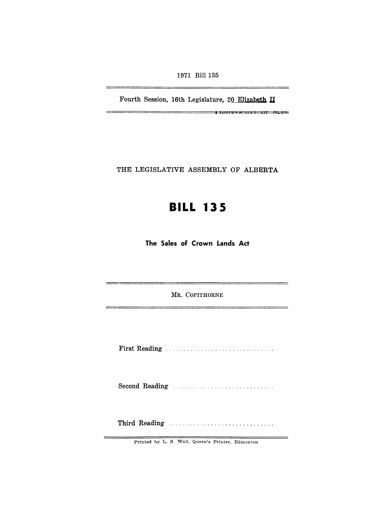1971 Bill 135

Fourth Session, 16th Legislature, 20 Elizabeth II

iii.fit,\_p\_ilii **tl' ILl** 

--

 $\rightarrow$ 

THE LEGISLATIVE ASSEMBLY OF ALBERTA

# **BILL 135**

**The Sales of Crown Lands Act** 

MR. COPITHORNE

First Reading .............................. .

Second Reading ............................ .

Third Reading ............................. .

Printed hy L. S Wall, Queen's Printer, Edmonton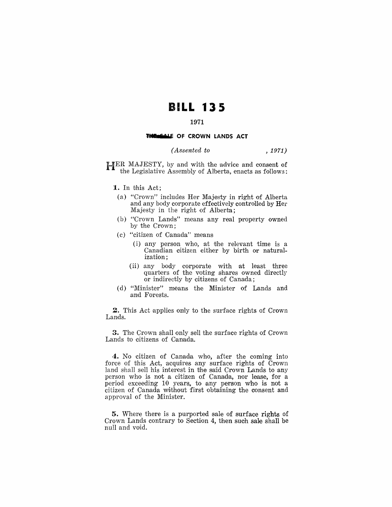## **BILL 135**

### 1971

#### THE SALE OF CROWN LANDS ACT

#### $, 1971)$ (Assented to

HER MAJESTY, by and with the advice and consent of the Legislative Assembly of Alberta, enacts as follows:

- 1. In this Act:
	- (a) "Crown" includes Her Majesty in right of Alberta and any body corporate effectively controlled by Her Majesty in the right of Alberta;
- (b) "Crown Lands" means any real property owned by the Crown;
- (c) "citizen of Canada" means
	- (i) any person who, at the relevant time is a Canadian citizen either by birth or naturalization;
	- (ii) any body corporate with at least three<br>quarters of the voting shares owned directly or indirectly by citizens of Canada;
- (d) "Minister" means the Minister of Lands and and Forests.

2. This Act applies only to the surface rights of Crown Lands.

**3.** The Crown shall only sell the surface rights of Crown Lands to citizens of Canada.

4. No citizen of Canada who, after the coming into force of this Act, acquires any surface rights of Crown land shall sell his interest in the said Crown Lands to any person who is not a citizen of Canada, nor lease, for a period exceeding 10 years, to any person who is not a citizen of Canada without first obtaining the consent and approval of the Minister.

**5.** Where there is a purported sale of surface rights of Crown Lands contrary to Section 4, then such sale shall be null and void.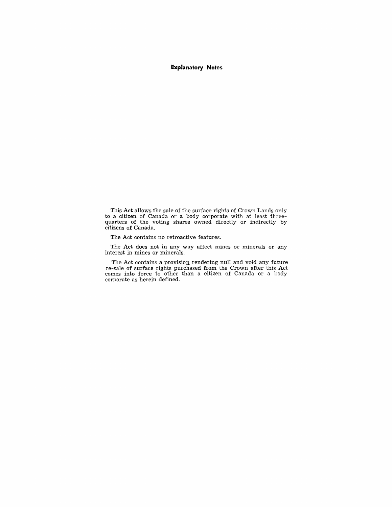#### **Explanatory Notes**

This Act allows the sale of the surface rights of Crown Lands only to a citizen of Canada or a body corporate with at least threequarters of the voting shares owned directly or indirectly by citizens of Canada.

The Act contains no retroactive features.

The Act does not in any way affect mines or minerals or any interest in mines or minerals.

The Act contains a provision rendering null and void any future re-sale of surface rights purchased from the Crown after this Act comes into force to other than a citizen of Canada or a body corporate as herein defined.